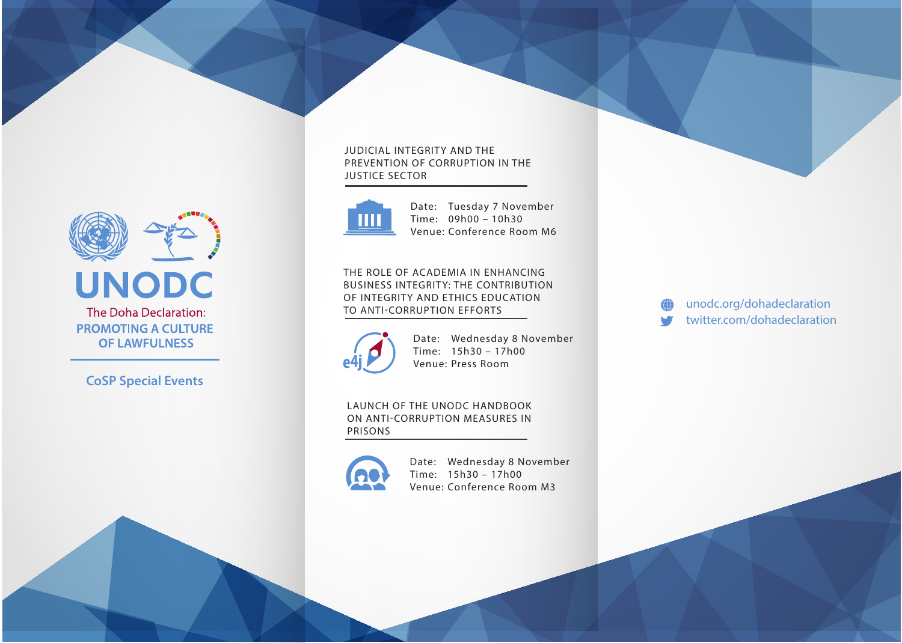

### **JUDICIAL INTEGRITY AND THE PREVENTION OF CORRUPTION IN THE JUSTICE SECTOR**



Date: Tuesday 7 November Time: 09h00 – 10h30 Venue: Conference Room M6

**THE ROLE OF ACADEMIA IN ENHANCING BUSINESS INTEGRITY: THE CONTRIBUTION OF INTEGRITY AND ETHICS EDUCATION TO ANTI-CORRUPTION EFFORTS**



Date: Wednesday 8 November Time: 15h30 – 17h00 Venue: Press Room

### **LAUNCH OF THE UNODC HANDBOOK ON ANTI-CORRUPTION MEASURES IN PRISONS**



Date: Wednesday 8 November Time: 15h30 – 17h00 Venue: Conference Room M3